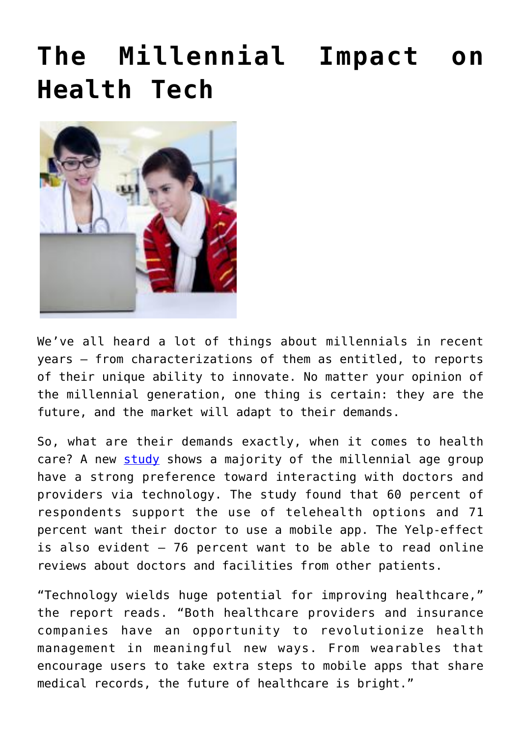## **[The Millennial Impact on](https://www.cns-inc.com/insights/thought-leadership/the-millennial-impact-on-health-tech/) [Health Tech](https://www.cns-inc.com/insights/thought-leadership/the-millennial-impact-on-health-tech/)**



We've all heard a lot of things about millennials in recent years – from characterizations of them as entitled, to reports of their unique ability to innovate. No matter your opinion of the millennial generation, one thing is certain: they are the future, and the market will adapt to their demands.

So, what are their demands exactly, when it comes to health care? A new [study](http://blogs.salesforce.com/company/2015/02/the-state-of-the-connected-patient-2015-infogrpahic.html?utm_source=twitterfeed&utm_medium=twitter) shows a majority of the millennial age group have a strong preference toward interacting with doctors and providers via technology. The study found that 60 percent of respondents support the use of telehealth options and 71 percent want their doctor to use a mobile app. The Yelp-effect is also evident  $-76$  percent want to be able to read online reviews about doctors and facilities from other patients.

"Technology wields huge potential for improving healthcare," the report reads. "Both healthcare providers and insurance companies have an opportunity to revolutionize health management in meaningful new ways. From wearables that encourage users to take extra steps to mobile apps that share medical records, the future of healthcare is bright."